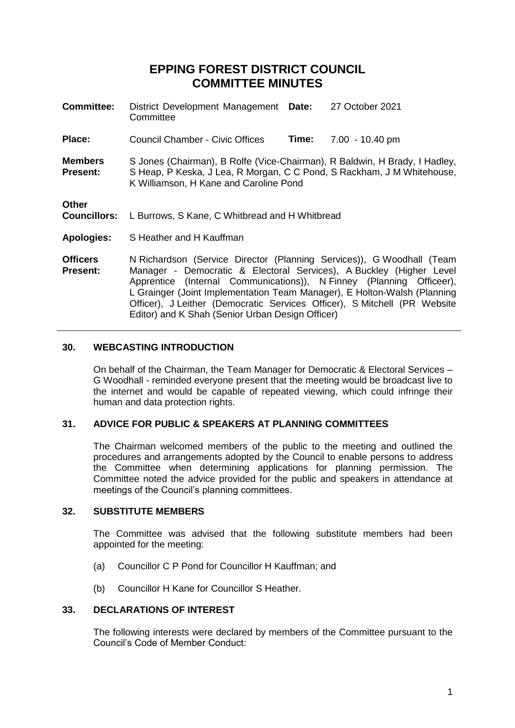# **EPPING FOREST DISTRICT COUNCIL COMMITTEE MINUTES**

| <b>Committee:</b>                   | District Development Management Date:<br>Committee                                                                                                                                                                                                                                                                                                                            |       | 27 October 2021 |
|-------------------------------------|-------------------------------------------------------------------------------------------------------------------------------------------------------------------------------------------------------------------------------------------------------------------------------------------------------------------------------------------------------------------------------|-------|-----------------|
| Place:                              | Council Chamber - Civic Offices                                                                                                                                                                                                                                                                                                                                               | Time: | 7.00 - 10.40 pm |
| <b>Members</b><br><b>Present:</b>   | S Jones (Chairman), B Rolfe (Vice-Chairman), R Baldwin, H Brady, I Hadley,<br>S Heap, P Keska, J Lea, R Morgan, C C Pond, S Rackham, J M Whitehouse,<br>K Williamson, H Kane and Caroline Pond                                                                                                                                                                                |       |                 |
| <b>Other</b><br><b>Councillors:</b> | L Burrows, S Kane, C Whitbread and H Whitbread                                                                                                                                                                                                                                                                                                                                |       |                 |
| <b>Apologies:</b>                   | S Heather and H Kauffman                                                                                                                                                                                                                                                                                                                                                      |       |                 |
| <b>Officers</b><br><b>Present:</b>  | N Richardson (Service Director (Planning Services)), G Woodhall (Team<br>Manager - Democratic & Electoral Services), A Buckley (Higher Level<br>Apprentice (Internal Communications)), N Finney (Planning Officeer),<br>L Grainger (Joint Implementation Team Manager), E Holton-Walsh (Planning<br>Officer), J Leither (Democratic Services Officer), S Mitchell (PR Website |       |                 |

## **30. WEBCASTING INTRODUCTION**

On behalf of the Chairman, the Team Manager for Democratic & Electoral Services – G Woodhall - reminded everyone present that the meeting would be broadcast live to the internet and would be capable of repeated viewing, which could infringe their human and data protection rights.

# **31. ADVICE FOR PUBLIC & SPEAKERS AT PLANNING COMMITTEES**

Editor) and K Shah (Senior Urban Design Officer)

The Chairman welcomed members of the public to the meeting and outlined the procedures and arrangements adopted by the Council to enable persons to address the Committee when determining applications for planning permission. The Committee noted the advice provided for the public and speakers in attendance at meetings of the Council's planning committees.

#### **32. SUBSTITUTE MEMBERS**

The Committee was advised that the following substitute members had been appointed for the meeting:

- (a) Councillor C P Pond for Councillor H Kauffman; and
- (b) Councillor H Kane for Councillor S Heather.

# **33. DECLARATIONS OF INTEREST**

The following interests were declared by members of the Committee pursuant to the Council's Code of Member Conduct: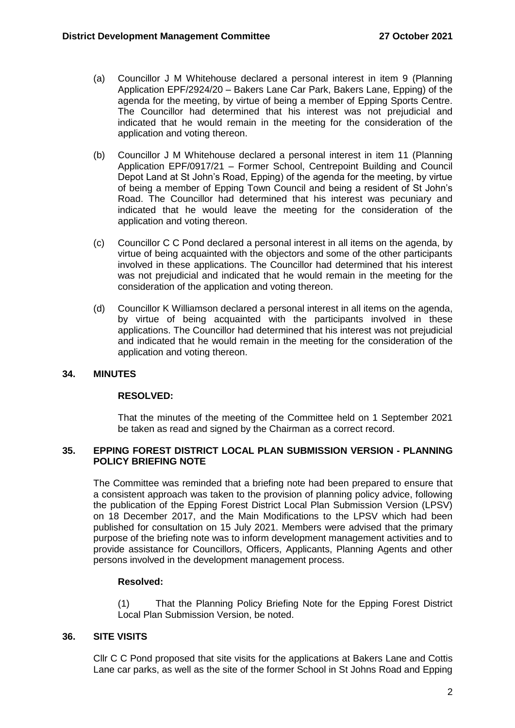- (a) Councillor J M Whitehouse declared a personal interest in item 9 (Planning Application EPF/2924/20 – Bakers Lane Car Park, Bakers Lane, Epping) of the agenda for the meeting, by virtue of being a member of Epping Sports Centre. The Councillor had determined that his interest was not prejudicial and indicated that he would remain in the meeting for the consideration of the application and voting thereon.
- (b) Councillor J M Whitehouse declared a personal interest in item 11 (Planning Application EPF/0917/21 – Former School, Centrepoint Building and Council Depot Land at St John's Road, Epping) of the agenda for the meeting, by virtue of being a member of Epping Town Council and being a resident of St John's Road. The Councillor had determined that his interest was pecuniary and indicated that he would leave the meeting for the consideration of the application and voting thereon.
- (c) Councillor C C Pond declared a personal interest in all items on the agenda, by virtue of being acquainted with the objectors and some of the other participants involved in these applications. The Councillor had determined that his interest was not prejudicial and indicated that he would remain in the meeting for the consideration of the application and voting thereon.
- (d) Councillor K Williamson declared a personal interest in all items on the agenda, by virtue of being acquainted with the participants involved in these applications. The Councillor had determined that his interest was not prejudicial and indicated that he would remain in the meeting for the consideration of the application and voting thereon.

#### **34. MINUTES**

#### **RESOLVED:**

That the minutes of the meeting of the Committee held on 1 September 2021 be taken as read and signed by the Chairman as a correct record.

## **35. EPPING FOREST DISTRICT LOCAL PLAN SUBMISSION VERSION - PLANNING POLICY BRIEFING NOTE**

The Committee was reminded that a briefing note had been prepared to ensure that a consistent approach was taken to the provision of planning policy advice, following the publication of the Epping Forest District Local Plan Submission Version (LPSV) on 18 December 2017, and the Main Modifications to the LPSV which had been published for consultation on 15 July 2021. Members were advised that the primary purpose of the briefing note was to inform development management activities and to provide assistance for Councillors, Officers, Applicants, Planning Agents and other persons involved in the development management process.

#### **Resolved:**

(1) That the Planning Policy Briefing Note for the Epping Forest District Local Plan Submission Version, be noted.

# **36. SITE VISITS**

Cllr C C Pond proposed that site visits for the applications at Bakers Lane and Cottis Lane car parks, as well as the site of the former School in St Johns Road and Epping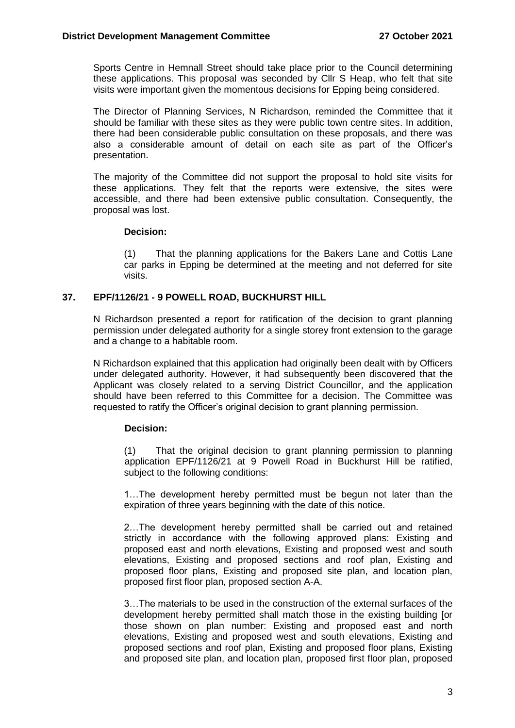Sports Centre in Hemnall Street should take place prior to the Council determining these applications. This proposal was seconded by Cllr S Heap, who felt that site visits were important given the momentous decisions for Epping being considered.

The Director of Planning Services, N Richardson, reminded the Committee that it should be familiar with these sites as they were public town centre sites. In addition, there had been considerable public consultation on these proposals, and there was also a considerable amount of detail on each site as part of the Officer's presentation.

The majority of the Committee did not support the proposal to hold site visits for these applications. They felt that the reports were extensive, the sites were accessible, and there had been extensive public consultation. Consequently, the proposal was lost.

## **Decision:**

(1) That the planning applications for the Bakers Lane and Cottis Lane car parks in Epping be determined at the meeting and not deferred for site visits.

# **37. EPF/1126/21 - 9 POWELL ROAD, BUCKHURST HILL**

N Richardson presented a report for ratification of the decision to grant planning permission under delegated authority for a single storey front extension to the garage and a change to a habitable room.

N Richardson explained that this application had originally been dealt with by Officers under delegated authority. However, it had subsequently been discovered that the Applicant was closely related to a serving District Councillor, and the application should have been referred to this Committee for a decision. The Committee was requested to ratify the Officer's original decision to grant planning permission.

#### **Decision:**

(1) That the original decision to grant planning permission to planning application EPF/1126/21 at 9 Powell Road in Buckhurst Hill be ratified, subject to the following conditions:

1…The development hereby permitted must be begun not later than the expiration of three years beginning with the date of this notice.

2…The development hereby permitted shall be carried out and retained strictly in accordance with the following approved plans: Existing and proposed east and north elevations, Existing and proposed west and south elevations, Existing and proposed sections and roof plan, Existing and proposed floor plans, Existing and proposed site plan, and location plan, proposed first floor plan, proposed section A-A.

3…The materials to be used in the construction of the external surfaces of the development hereby permitted shall match those in the existing building [or those shown on plan number: Existing and proposed east and north elevations, Existing and proposed west and south elevations, Existing and proposed sections and roof plan, Existing and proposed floor plans, Existing and proposed site plan, and location plan, proposed first floor plan, proposed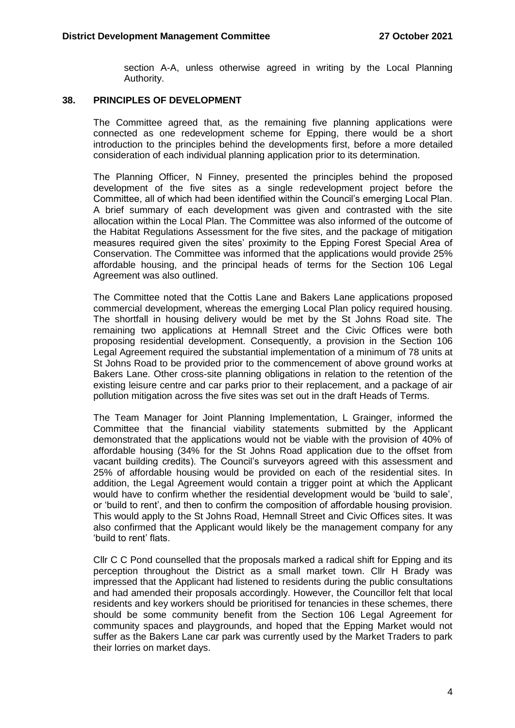section A-A, unless otherwise agreed in writing by the Local Planning Authority.

# **38. PRINCIPLES OF DEVELOPMENT**

The Committee agreed that, as the remaining five planning applications were connected as one redevelopment scheme for Epping, there would be a short introduction to the principles behind the developments first, before a more detailed consideration of each individual planning application prior to its determination.

The Planning Officer, N Finney, presented the principles behind the proposed development of the five sites as a single redevelopment project before the Committee, all of which had been identified within the Council's emerging Local Plan. A brief summary of each development was given and contrasted with the site allocation within the Local Plan. The Committee was also informed of the outcome of the Habitat Regulations Assessment for the five sites, and the package of mitigation measures required given the sites' proximity to the Epping Forest Special Area of Conservation. The Committee was informed that the applications would provide 25% affordable housing, and the principal heads of terms for the Section 106 Legal Agreement was also outlined.

The Committee noted that the Cottis Lane and Bakers Lane applications proposed commercial development, whereas the emerging Local Plan policy required housing. The shortfall in housing delivery would be met by the St Johns Road site. The remaining two applications at Hemnall Street and the Civic Offices were both proposing residential development. Consequently, a provision in the Section 106 Legal Agreement required the substantial implementation of a minimum of 78 units at St Johns Road to be provided prior to the commencement of above ground works at Bakers Lane. Other cross-site planning obligations in relation to the retention of the existing leisure centre and car parks prior to their replacement, and a package of air pollution mitigation across the five sites was set out in the draft Heads of Terms.

The Team Manager for Joint Planning Implementation, L Grainger, informed the Committee that the financial viability statements submitted by the Applicant demonstrated that the applications would not be viable with the provision of 40% of affordable housing (34% for the St Johns Road application due to the offset from vacant building credits). The Council's surveyors agreed with this assessment and 25% of affordable housing would be provided on each of the residential sites. In addition, the Legal Agreement would contain a trigger point at which the Applicant would have to confirm whether the residential development would be 'build to sale', or 'build to rent', and then to confirm the composition of affordable housing provision. This would apply to the St Johns Road, Hemnall Street and Civic Offices sites. It was also confirmed that the Applicant would likely be the management company for any 'build to rent' flats.

Cllr C C Pond counselled that the proposals marked a radical shift for Epping and its perception throughout the District as a small market town. Cllr H Brady was impressed that the Applicant had listened to residents during the public consultations and had amended their proposals accordingly. However, the Councillor felt that local residents and key workers should be prioritised for tenancies in these schemes, there should be some community benefit from the Section 106 Legal Agreement for community spaces and playgrounds, and hoped that the Epping Market would not suffer as the Bakers Lane car park was currently used by the Market Traders to park their lorries on market days.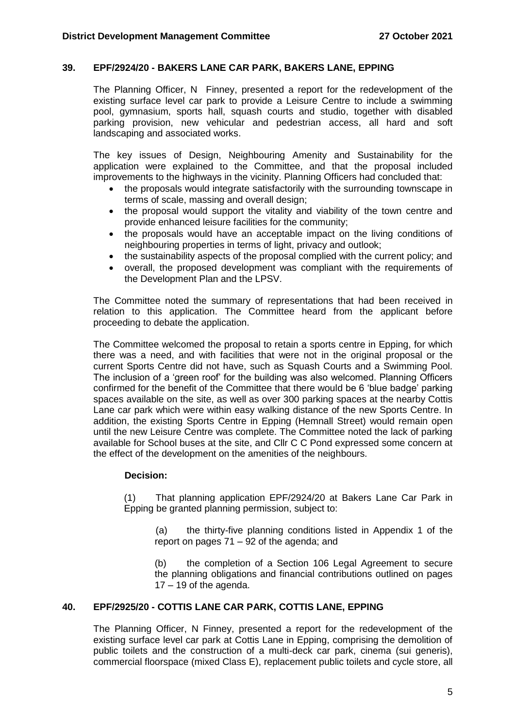## **39. EPF/2924/20 - BAKERS LANE CAR PARK, BAKERS LANE, EPPING**

The Planning Officer, N Finney, presented a report for the redevelopment of the existing surface level car park to provide a Leisure Centre to include a swimming pool, gymnasium, sports hall, squash courts and studio, together with disabled parking provision, new vehicular and pedestrian access, all hard and soft landscaping and associated works.

The key issues of Design, Neighbouring Amenity and Sustainability for the application were explained to the Committee, and that the proposal included improvements to the highways in the vicinity. Planning Officers had concluded that:

- the proposals would integrate satisfactorily with the surrounding townscape in terms of scale, massing and overall design;
- the proposal would support the vitality and viability of the town centre and provide enhanced leisure facilities for the community;
- the proposals would have an acceptable impact on the living conditions of neighbouring properties in terms of light, privacy and outlook;
- the sustainability aspects of the proposal complied with the current policy; and
- overall, the proposed development was compliant with the requirements of the Development Plan and the LPSV.

The Committee noted the summary of representations that had been received in relation to this application. The Committee heard from the applicant before proceeding to debate the application.

The Committee welcomed the proposal to retain a sports centre in Epping, for which there was a need, and with facilities that were not in the original proposal or the current Sports Centre did not have, such as Squash Courts and a Swimming Pool. The inclusion of a 'green roof' for the building was also welcomed. Planning Officers confirmed for the benefit of the Committee that there would be 6 'blue badge' parking spaces available on the site, as well as over 300 parking spaces at the nearby Cottis Lane car park which were within easy walking distance of the new Sports Centre. In addition, the existing Sports Centre in Epping (Hemnall Street) would remain open until the new Leisure Centre was complete. The Committee noted the lack of parking available for School buses at the site, and Cllr C C Pond expressed some concern at the effect of the development on the amenities of the neighbours.

# **Decision:**

(1) That planning application EPF/2924/20 at Bakers Lane Car Park in Epping be granted planning permission, subject to:

(a) the thirty-five planning conditions listed in Appendix 1 of the report on pages 71 – 92 of the agenda; and

(b) the completion of a Section 106 Legal Agreement to secure the planning obligations and financial contributions outlined on pages  $17 - 19$  of the agenda.

# **40. EPF/2925/20 - COTTIS LANE CAR PARK, COTTIS LANE, EPPING**

The Planning Officer, N Finney, presented a report for the redevelopment of the existing surface level car park at Cottis Lane in Epping, comprising the demolition of public toilets and the construction of a multi-deck car park, cinema (sui generis), commercial floorspace (mixed Class E), replacement public toilets and cycle store, all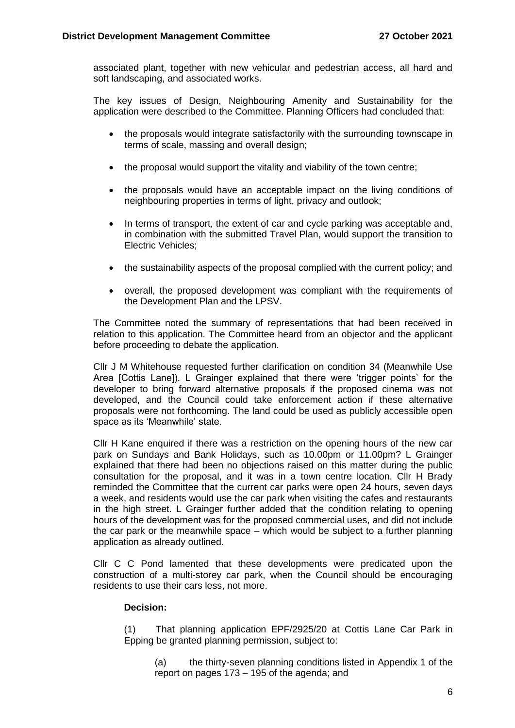associated plant, together with new vehicular and pedestrian access, all hard and soft landscaping, and associated works.

The key issues of Design, Neighbouring Amenity and Sustainability for the application were described to the Committee. Planning Officers had concluded that:

- the proposals would integrate satisfactorily with the surrounding townscape in terms of scale, massing and overall design;
- the proposal would support the vitality and viability of the town centre;
- the proposals would have an acceptable impact on the living conditions of neighbouring properties in terms of light, privacy and outlook;
- In terms of transport, the extent of car and cycle parking was acceptable and, in combination with the submitted Travel Plan, would support the transition to Electric Vehicles;
- the sustainability aspects of the proposal complied with the current policy: and
- overall, the proposed development was compliant with the requirements of the Development Plan and the LPSV.

The Committee noted the summary of representations that had been received in relation to this application. The Committee heard from an objector and the applicant before proceeding to debate the application.

Cllr J M Whitehouse requested further clarification on condition 34 (Meanwhile Use Area [Cottis Lane]). L Grainger explained that there were 'trigger points' for the developer to bring forward alternative proposals if the proposed cinema was not developed, and the Council could take enforcement action if these alternative proposals were not forthcoming. The land could be used as publicly accessible open space as its 'Meanwhile' state.

Cllr H Kane enquired if there was a restriction on the opening hours of the new car park on Sundays and Bank Holidays, such as 10.00pm or 11.00pm? L Grainger explained that there had been no objections raised on this matter during the public consultation for the proposal, and it was in a town centre location. Cllr H Brady reminded the Committee that the current car parks were open 24 hours, seven days a week, and residents would use the car park when visiting the cafes and restaurants in the high street. L Grainger further added that the condition relating to opening hours of the development was for the proposed commercial uses, and did not include the car park or the meanwhile space – which would be subject to a further planning application as already outlined.

Cllr C C Pond lamented that these developments were predicated upon the construction of a multi-storey car park, when the Council should be encouraging residents to use their cars less, not more.

# **Decision:**

(1) That planning application EPF/2925/20 at Cottis Lane Car Park in Epping be granted planning permission, subject to:

(a) the thirty-seven planning conditions listed in Appendix 1 of the report on pages 173 – 195 of the agenda; and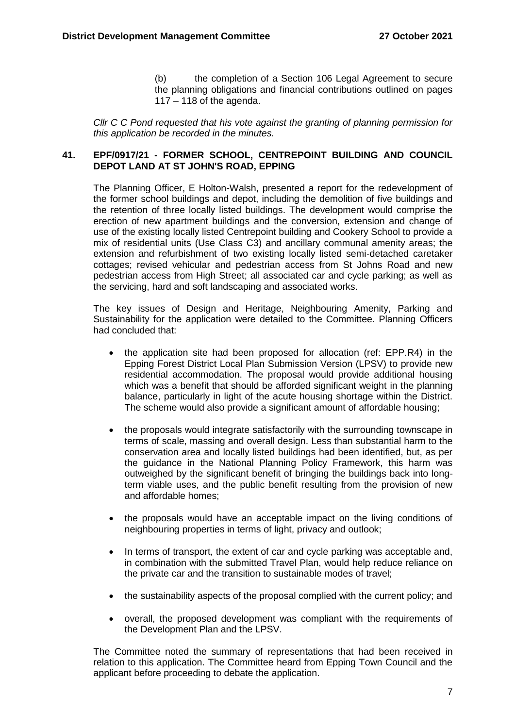(b) the completion of a Section 106 Legal Agreement to secure the planning obligations and financial contributions outlined on pages 117 – 118 of the agenda.

*Cllr C C Pond requested that his vote against the granting of planning permission for this application be recorded in the minutes.*

# **41. EPF/0917/21 - FORMER SCHOOL, CENTREPOINT BUILDING AND COUNCIL DEPOT LAND AT ST JOHN'S ROAD, EPPING**

The Planning Officer, E Holton-Walsh, presented a report for the redevelopment of the former school buildings and depot, including the demolition of five buildings and the retention of three locally listed buildings. The development would comprise the erection of new apartment buildings and the conversion, extension and change of use of the existing locally listed Centrepoint building and Cookery School to provide a mix of residential units (Use Class C3) and ancillary communal amenity areas; the extension and refurbishment of two existing locally listed semi-detached caretaker cottages; revised vehicular and pedestrian access from St Johns Road and new pedestrian access from High Street; all associated car and cycle parking; as well as the servicing, hard and soft landscaping and associated works.

The key issues of Design and Heritage, Neighbouring Amenity, Parking and Sustainability for the application were detailed to the Committee. Planning Officers had concluded that:

- the application site had been proposed for allocation (ref: EPP.R4) in the Epping Forest District Local Plan Submission Version (LPSV) to provide new residential accommodation. The proposal would provide additional housing which was a benefit that should be afforded significant weight in the planning balance, particularly in light of the acute housing shortage within the District. The scheme would also provide a significant amount of affordable housing;
- the proposals would integrate satisfactorily with the surrounding townscape in terms of scale, massing and overall design. Less than substantial harm to the conservation area and locally listed buildings had been identified, but, as per the guidance in the National Planning Policy Framework, this harm was outweighed by the significant benefit of bringing the buildings back into longterm viable uses, and the public benefit resulting from the provision of new and affordable homes;
- the proposals would have an acceptable impact on the living conditions of neighbouring properties in terms of light, privacy and outlook;
- In terms of transport, the extent of car and cycle parking was acceptable and, in combination with the submitted Travel Plan, would help reduce reliance on the private car and the transition to sustainable modes of travel;
- the sustainability aspects of the proposal complied with the current policy; and
- overall, the proposed development was compliant with the requirements of the Development Plan and the LPSV.

The Committee noted the summary of representations that had been received in relation to this application. The Committee heard from Epping Town Council and the applicant before proceeding to debate the application.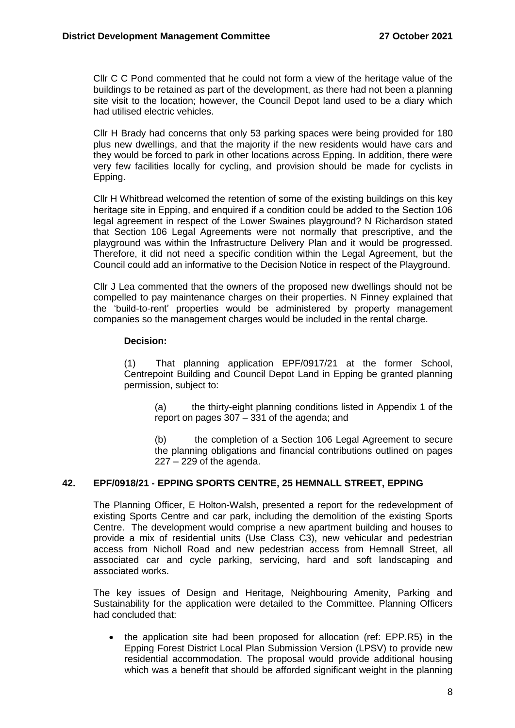Cllr C C Pond commented that he could not form a view of the heritage value of the buildings to be retained as part of the development, as there had not been a planning site visit to the location; however, the Council Depot land used to be a diary which had utilised electric vehicles.

Cllr H Brady had concerns that only 53 parking spaces were being provided for 180 plus new dwellings, and that the majority if the new residents would have cars and they would be forced to park in other locations across Epping. In addition, there were very few facilities locally for cycling, and provision should be made for cyclists in Epping.

Cllr H Whitbread welcomed the retention of some of the existing buildings on this key heritage site in Epping, and enquired if a condition could be added to the Section 106 legal agreement in respect of the Lower Swaines playground? N Richardson stated that Section 106 Legal Agreements were not normally that prescriptive, and the playground was within the Infrastructure Delivery Plan and it would be progressed. Therefore, it did not need a specific condition within the Legal Agreement, but the Council could add an informative to the Decision Notice in respect of the Playground.

Cllr J Lea commented that the owners of the proposed new dwellings should not be compelled to pay maintenance charges on their properties. N Finney explained that the 'build-to-rent' properties would be administered by property management companies so the management charges would be included in the rental charge.

#### **Decision:**

(1) That planning application EPF/0917/21 at the former School, Centrepoint Building and Council Depot Land in Epping be granted planning permission, subject to:

(a) the thirty-eight planning conditions listed in Appendix 1 of the report on pages 307 – 331 of the agenda; and

(b) the completion of a Section 106 Legal Agreement to secure the planning obligations and financial contributions outlined on pages 227 – 229 of the agenda.

#### **42. EPF/0918/21 - EPPING SPORTS CENTRE, 25 HEMNALL STREET, EPPING**

The Planning Officer, E Holton-Walsh, presented a report for the redevelopment of existing Sports Centre and car park, including the demolition of the existing Sports Centre. The development would comprise a new apartment building and houses to provide a mix of residential units (Use Class C3), new vehicular and pedestrian access from Nicholl Road and new pedestrian access from Hemnall Street, all associated car and cycle parking, servicing, hard and soft landscaping and associated works.

The key issues of Design and Heritage, Neighbouring Amenity, Parking and Sustainability for the application were detailed to the Committee. Planning Officers had concluded that:

 the application site had been proposed for allocation (ref: EPP.R5) in the Epping Forest District Local Plan Submission Version (LPSV) to provide new residential accommodation. The proposal would provide additional housing which was a benefit that should be afforded significant weight in the planning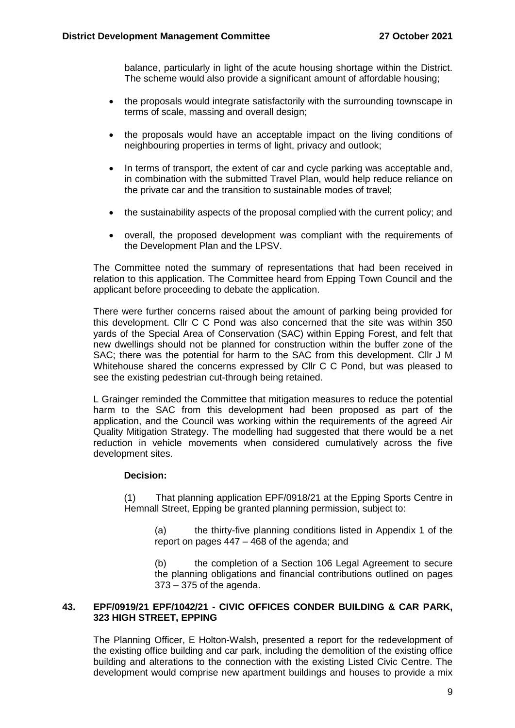balance, particularly in light of the acute housing shortage within the District. The scheme would also provide a significant amount of affordable housing;

- the proposals would integrate satisfactorily with the surrounding townscape in terms of scale, massing and overall design;
- the proposals would have an acceptable impact on the living conditions of neighbouring properties in terms of light, privacy and outlook;
- In terms of transport, the extent of car and cycle parking was acceptable and, in combination with the submitted Travel Plan, would help reduce reliance on the private car and the transition to sustainable modes of travel;
- the sustainability aspects of the proposal complied with the current policy; and
- overall, the proposed development was compliant with the requirements of the Development Plan and the LPSV.

The Committee noted the summary of representations that had been received in relation to this application. The Committee heard from Epping Town Council and the applicant before proceeding to debate the application.

There were further concerns raised about the amount of parking being provided for this development. Cllr C C Pond was also concerned that the site was within 350 yards of the Special Area of Conservation (SAC) within Epping Forest, and felt that new dwellings should not be planned for construction within the buffer zone of the SAC; there was the potential for harm to the SAC from this development. Cllr J M Whitehouse shared the concerns expressed by Cllr C C Pond, but was pleased to see the existing pedestrian cut-through being retained.

L Grainger reminded the Committee that mitigation measures to reduce the potential harm to the SAC from this development had been proposed as part of the application, and the Council was working within the requirements of the agreed Air Quality Mitigation Strategy. The modelling had suggested that there would be a net reduction in vehicle movements when considered cumulatively across the five development sites.

# **Decision:**

(1) That planning application EPF/0918/21 at the Epping Sports Centre in Hemnall Street, Epping be granted planning permission, subject to:

(a) the thirty-five planning conditions listed in Appendix 1 of the report on pages 447 – 468 of the agenda; and

(b) the completion of a Section 106 Legal Agreement to secure the planning obligations and financial contributions outlined on pages 373 – 375 of the agenda.

## **43. EPF/0919/21 EPF/1042/21 - CIVIC OFFICES CONDER BUILDING & CAR PARK, 323 HIGH STREET, EPPING**

The Planning Officer, E Holton-Walsh, presented a report for the redevelopment of the existing office building and car park, including the demolition of the existing office building and alterations to the connection with the existing Listed Civic Centre. The development would comprise new apartment buildings and houses to provide a mix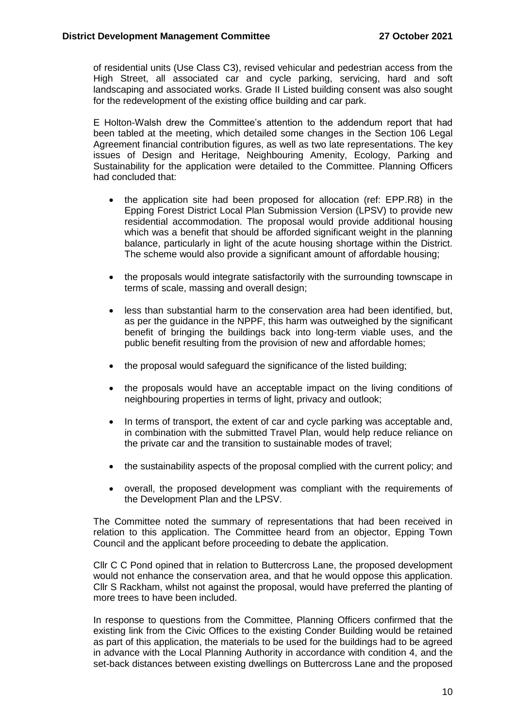of residential units (Use Class C3), revised vehicular and pedestrian access from the High Street, all associated car and cycle parking, servicing, hard and soft landscaping and associated works. Grade II Listed building consent was also sought for the redevelopment of the existing office building and car park.

E Holton-Walsh drew the Committee's attention to the addendum report that had been tabled at the meeting, which detailed some changes in the Section 106 Legal Agreement financial contribution figures, as well as two late representations. The key issues of Design and Heritage, Neighbouring Amenity, Ecology, Parking and Sustainability for the application were detailed to the Committee. Planning Officers had concluded that:

- the application site had been proposed for allocation (ref: EPP.R8) in the Epping Forest District Local Plan Submission Version (LPSV) to provide new residential accommodation. The proposal would provide additional housing which was a benefit that should be afforded significant weight in the planning balance, particularly in light of the acute housing shortage within the District. The scheme would also provide a significant amount of affordable housing;
- the proposals would integrate satisfactorily with the surrounding townscape in terms of scale, massing and overall design;
- less than substantial harm to the conservation area had been identified, but, as per the guidance in the NPPF, this harm was outweighed by the significant benefit of bringing the buildings back into long-term viable uses, and the public benefit resulting from the provision of new and affordable homes;
- the proposal would safeguard the significance of the listed building;
- the proposals would have an acceptable impact on the living conditions of neighbouring properties in terms of light, privacy and outlook;
- In terms of transport, the extent of car and cycle parking was acceptable and, in combination with the submitted Travel Plan, would help reduce reliance on the private car and the transition to sustainable modes of travel;
- the sustainability aspects of the proposal complied with the current policy; and
- overall, the proposed development was compliant with the requirements of the Development Plan and the LPSV.

The Committee noted the summary of representations that had been received in relation to this application. The Committee heard from an objector, Epping Town Council and the applicant before proceeding to debate the application.

Cllr C C Pond opined that in relation to Buttercross Lane, the proposed development would not enhance the conservation area, and that he would oppose this application. Cllr S Rackham, whilst not against the proposal, would have preferred the planting of more trees to have been included.

In response to questions from the Committee, Planning Officers confirmed that the existing link from the Civic Offices to the existing Conder Building would be retained as part of this application, the materials to be used for the buildings had to be agreed in advance with the Local Planning Authority in accordance with condition 4, and the set-back distances between existing dwellings on Buttercross Lane and the proposed